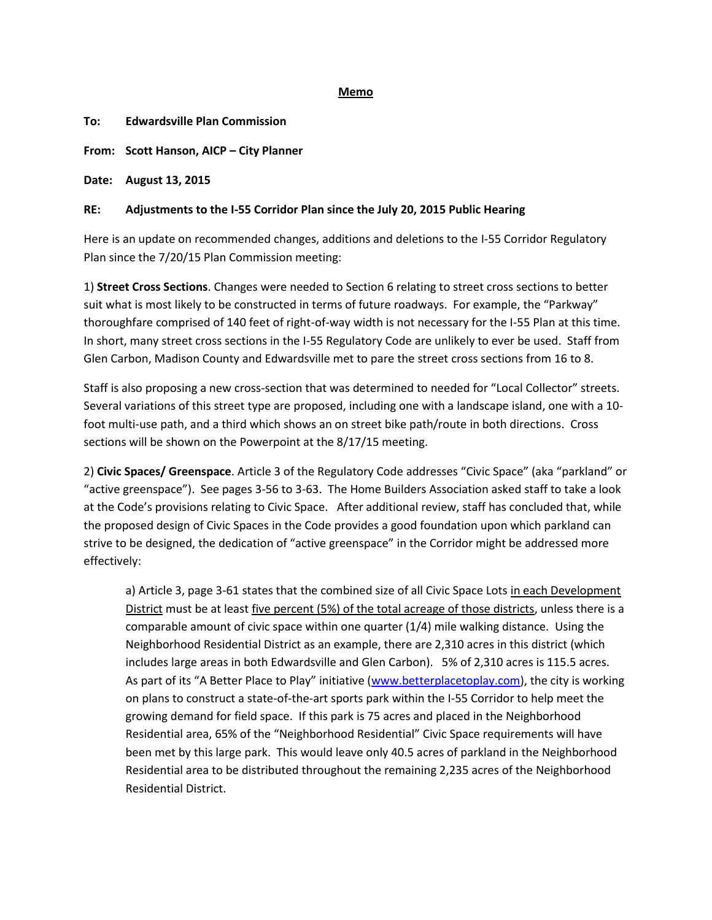## **Memo**

**To: Edwardsville Plan Commission**

**From: Scott Hanson, AICP – City Planner**

**Date: August 13, 2015**

## **RE: Adjustments to the I-55 Corridor Plan since the July 20, 2015 Public Hearing**

Here is an update on recommended changes, additions and deletions to the I-55 Corridor Regulatory Plan since the 7/20/15 Plan Commission meeting:

1) **Street Cross Sections**. Changes were needed to Section 6 relating to street cross sections to better suit what is most likely to be constructed in terms of future roadways. For example, the "Parkway" thoroughfare comprised of 140 feet of right-of-way width is not necessary for the I-55 Plan at this time. In short, many street cross sections in the I-55 Regulatory Code are unlikely to ever be used. Staff from Glen Carbon, Madison County and Edwardsville met to pare the street cross sections from 16 to 8.

Staff is also proposing a new cross-section that was determined to needed for "Local Collector" streets. Several variations of this street type are proposed, including one with a landscape island, one with a 10 foot multi-use path, and a third which shows an on street bike path/route in both directions. Cross sections will be shown on the Powerpoint at the 8/17/15 meeting.

2) **Civic Spaces/ Greenspace**. Article 3 of the Regulatory Code addresses "Civic Space" (aka "parkland" or "active greenspace"). See pages 3-56 to 3-63. The Home Builders Association asked staff to take a look at the Code's provisions relating to Civic Space. After additional review, staff has concluded that, while the proposed design of Civic Spaces in the Code provides a good foundation upon which parkland can strive to be designed, the dedication of "active greenspace" in the Corridor might be addressed more effectively:

a) Article 3, page 3-61 states that the combined size of all Civic Space Lots in each Development District must be at least five percent (5%) of the total acreage of those districts, unless there is a comparable amount of civic space within one quarter (1/4) mile walking distance. Using the Neighborhood Residential District as an example, there are 2,310 acres in this district (which includes large areas in both Edwardsville and Glen Carbon). 5% of 2,310 acres is 115.5 acres. As part of its "A Better Place to Play" initiative ([www.betterplacetoplay.com\)](http://www.betterplacetoplay.com/), the city is working on plans to construct a state-of-the-art sports park within the I-55 Corridor to help meet the growing demand for field space. If this park is 75 acres and placed in the Neighborhood Residential area, 65% of the "Neighborhood Residential" Civic Space requirements will have been met by this large park. This would leave only 40.5 acres of parkland in the Neighborhood Residential area to be distributed throughout the remaining 2,235 acres of the Neighborhood Residential District.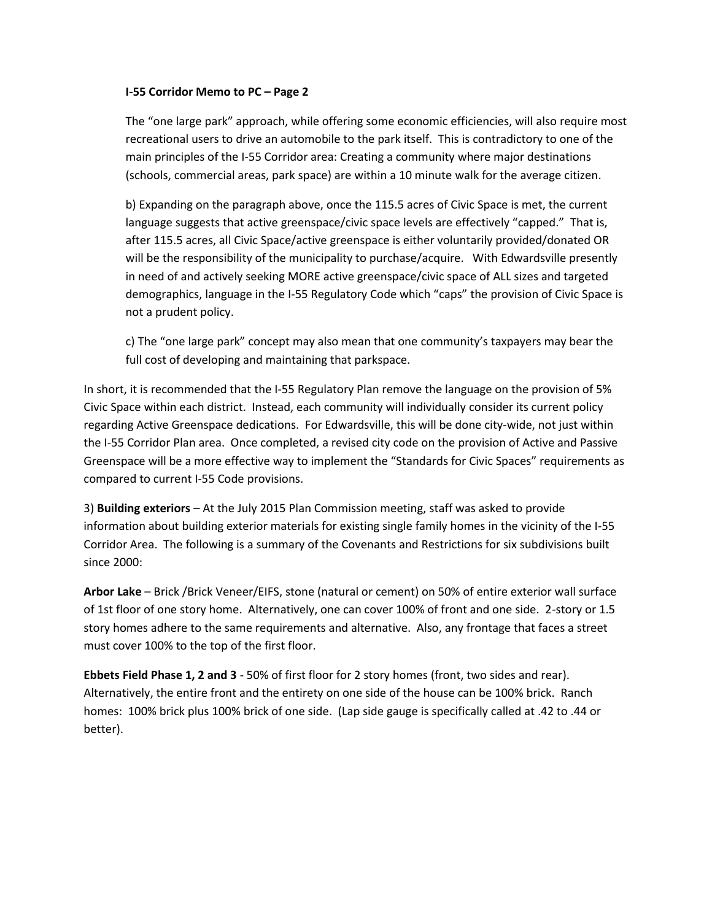## **I-55 Corridor Memo to PC – Page 2**

The "one large park" approach, while offering some economic efficiencies, will also require most recreational users to drive an automobile to the park itself. This is contradictory to one of the main principles of the I-55 Corridor area: Creating a community where major destinations (schools, commercial areas, park space) are within a 10 minute walk for the average citizen.

b) Expanding on the paragraph above, once the 115.5 acres of Civic Space is met, the current language suggests that active greenspace/civic space levels are effectively "capped." That is, after 115.5 acres, all Civic Space/active greenspace is either voluntarily provided/donated OR will be the responsibility of the municipality to purchase/acquire. With Edwardsville presently in need of and actively seeking MORE active greenspace/civic space of ALL sizes and targeted demographics, language in the I-55 Regulatory Code which "caps" the provision of Civic Space is not a prudent policy.

c) The "one large park" concept may also mean that one community's taxpayers may bear the full cost of developing and maintaining that parkspace.

In short, it is recommended that the I-55 Regulatory Plan remove the language on the provision of 5% Civic Space within each district. Instead, each community will individually consider its current policy regarding Active Greenspace dedications. For Edwardsville, this will be done city-wide, not just within the I-55 Corridor Plan area. Once completed, a revised city code on the provision of Active and Passive Greenspace will be a more effective way to implement the "Standards for Civic Spaces" requirements as compared to current I-55 Code provisions.

3) **Building exteriors** – At the July 2015 Plan Commission meeting, staff was asked to provide information about building exterior materials for existing single family homes in the vicinity of the I-55 Corridor Area. The following is a summary of the Covenants and Restrictions for six subdivisions built since 2000:

**Arbor Lake** – Brick /Brick Veneer/EIFS, stone (natural or cement) on 50% of entire exterior wall surface of 1st floor of one story home. Alternatively, one can cover 100% of front and one side. 2-story or 1.5 story homes adhere to the same requirements and alternative. Also, any frontage that faces a street must cover 100% to the top of the first floor.

**Ebbets Field Phase 1, 2 and 3** - 50% of first floor for 2 story homes (front, two sides and rear). Alternatively, the entire front and the entirety on one side of the house can be 100% brick. Ranch homes: 100% brick plus 100% brick of one side. (Lap side gauge is specifically called at .42 to .44 or better).